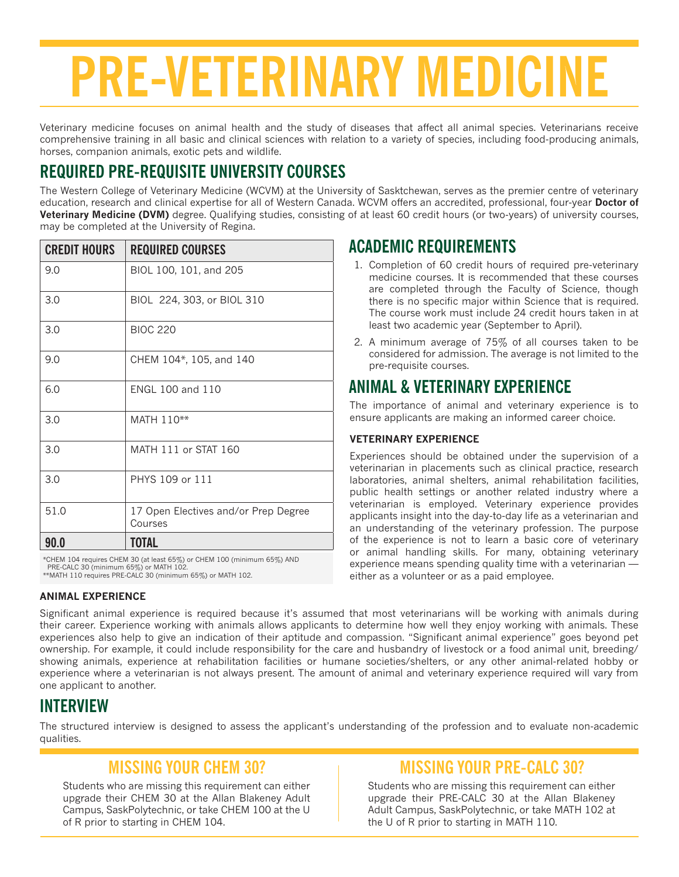# **PRE-VETERINARY MEDICINE**

Veterinary medicine focuses on animal health and the study of diseases that affect all animal species. Veterinarians receive comprehensive training in all basic and clinical sciences with relation to a variety of species, including food-producing animals, horses, companion animals, exotic pets and wildlife.

# **REQUIRED PRE-REQUISITE UNIVERSITY COURSES**

The Western College of Veterinary Medicine (WCVM) at the University of Sasktchewan, serves as the premier centre of veterinary education, research and clinical expertise for all of Western Canada. WCVM offers an accredited, professional, four-year **Doctor of Veterinary Medicine (DVM)** degree. Qualifying studies, consisting of at least 60 credit hours (or two-years) of university courses, may be completed at the University of Regina.

| <b>CREDIT HOURS</b> | <b>REQUIRED COURSES</b>                         |
|---------------------|-------------------------------------------------|
| 9.0                 | BIOL 100, 101, and 205                          |
| 3.0                 | BIOL 224, 303, or BIOL 310                      |
| 3.0                 | <b>BIOC 220</b>                                 |
| 9.0                 | CHEM 104*, 105, and 140                         |
| 6.0                 | ENGL 100 and 110                                |
| 3.0                 | MATH 110**                                      |
| 3.0                 | MATH 111 or STAT 160                            |
| 3.0                 | PHYS 109 or 111                                 |
| 51.0                | 17 Open Electives and/or Prep Degree<br>Courses |
| 90.0                | <b>TOTAL</b>                                    |

\*CHEM 104 requires CHEM 30 (at least 65%) or CHEM 100 (minimum 65%) AND PRE-CALC 30 (minimum 65%) or MATH 102. \*\*MATH 110 requires PRE-CALC 30 (minimum 65%) or MATH 102.

#### **ANIMAL EXPERIENCE**

#### **ACADEMIC REQUIREMENTS**

- 1. Completion of 60 credit hours of required pre-veterinary medicine courses. It is recommended that these courses are completed through the Faculty of Science, though there is no specific major within Science that is required. The course work must include 24 credit hours taken in at least two academic year (September to April).
- 2. A minimum average of 75% of all courses taken to be considered for admission. The average is not limited to the pre-requisite courses.

### **ANIMAL & VETERINARY EXPERIENCE**

The importance of animal and veterinary experience is to ensure applicants are making an informed career choice.

#### **VETERINARY EXPERIENCE**

Experiences should be obtained under the supervision of a veterinarian in placements such as clinical practice, research laboratories, animal shelters, animal rehabilitation facilities, public health settings or another related industry where a veterinarian is employed. Veterinary experience provides applicants insight into the day-to-day life as a veterinarian and an understanding of the veterinary profession. The purpose of the experience is not to learn a basic core of veterinary or animal handling skills. For many, obtaining veterinary experience means spending quality time with a veterinarian either as a volunteer or as a paid employee.

Significant animal experience is required because it's assumed that most veterinarians will be working with animals during their career. Experience working with animals allows applicants to determine how well they enjoy working with animals. These experiences also help to give an indication of their aptitude and compassion. "Significant animal experience" goes beyond pet ownership. For example, it could include responsibility for the care and husbandry of livestock or a food animal unit, breeding/ showing animals, experience at rehabilitation facilities or humane societies/shelters, or any other animal-related hobby or experience where a veterinarian is not always present. The amount of animal and veterinary experience required will vary from one applicant to another.

#### **INTERVIEW**

The structured interview is designed to assess the applicant's understanding of the profession and to evaluate non-academic qualities.

#### **MISSING YOUR CHEM 30?**

Students who are missing this requirement can either upgrade their CHEM 30 at the Allan Blakeney Adult Campus, SaskPolytechnic, or take CHEM 100 at the U of R prior to starting in CHEM 104.

#### **MISSING YOUR PRE-CALC 30?**

Students who are missing this requirement can either upgrade their PRE-CALC 30 at the Allan Blakeney Adult Campus, SaskPolytechnic, or take MATH 102 at the U of R prior to starting in MATH 110.